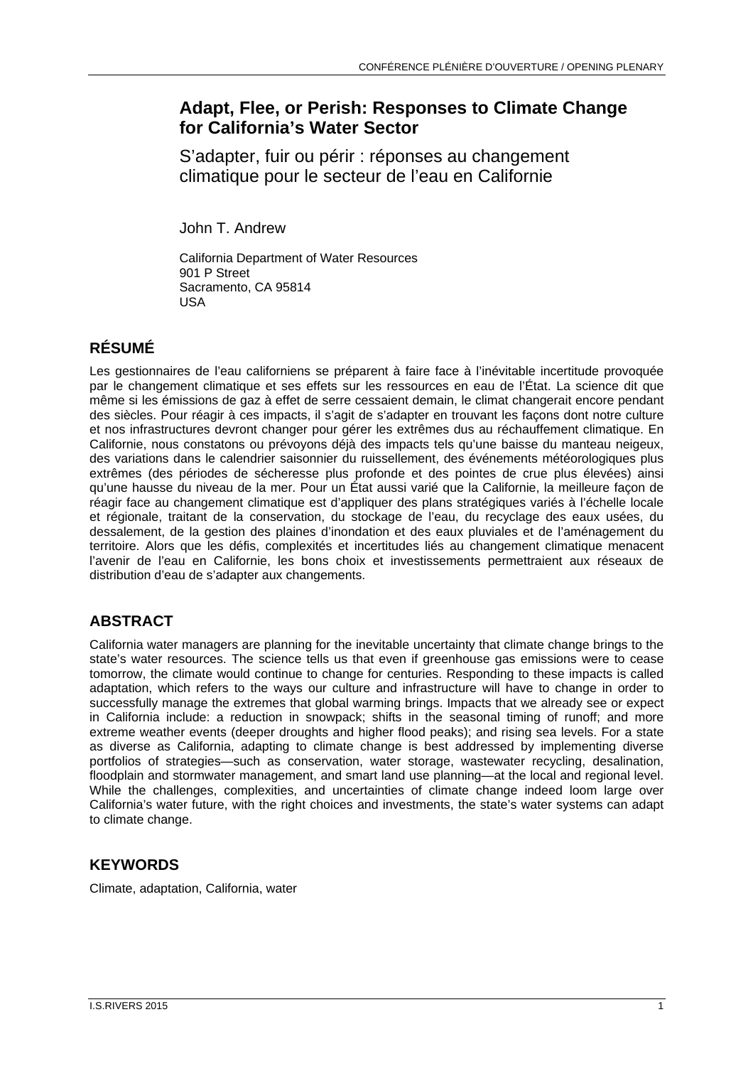## **Adapt, Flee, or Perish: Responses to Climate Change for California's Water Sector**

S'adapter, fuir ou périr : réponses au changement climatique pour le secteur de l'eau en Californie

John T. Andrew

California Department of Water Resources 901 P Street Sacramento, CA 95814 USA

# **RÉSUMÉ**

Les gestionnaires de l'eau californiens se préparent à faire face à l'inévitable incertitude provoquée par le changement climatique et ses effets sur les ressources en eau de l'État. La science dit que même si les émissions de gaz à effet de serre cessaient demain, le climat changerait encore pendant des siècles. Pour réagir à ces impacts, il s'agit de s'adapter en trouvant les façons dont notre culture et nos infrastructures devront changer pour gérer les extrêmes dus au réchauffement climatique. En Californie, nous constatons ou prévoyons déjà des impacts tels qu'une baisse du manteau neigeux, des variations dans le calendrier saisonnier du ruissellement, des événements météorologiques plus extrêmes (des périodes de sécheresse plus profonde et des pointes de crue plus élevées) ainsi qu'une hausse du niveau de la mer. Pour un État aussi varié que la Californie, la meilleure façon de réagir face au changement climatique est d'appliquer des plans stratégiques variés à l'échelle locale et régionale, traitant de la conservation, du stockage de l'eau, du recyclage des eaux usées, du dessalement, de la gestion des plaines d'inondation et des eaux pluviales et de l'aménagement du territoire. Alors que les défis, complexités et incertitudes liés au changement climatique menacent l'avenir de l'eau en Californie, les bons choix et investissements permettraient aux réseaux de distribution d'eau de s'adapter aux changements.

### **ABSTRACT**

California water managers are planning for the inevitable uncertainty that climate change brings to the state's water resources. The science tells us that even if greenhouse gas emissions were to cease tomorrow, the climate would continue to change for centuries. Responding to these impacts is called adaptation, which refers to the ways our culture and infrastructure will have to change in order to successfully manage the extremes that global warming brings. Impacts that we already see or expect in California include: a reduction in snowpack; shifts in the seasonal timing of runoff; and more extreme weather events (deeper droughts and higher flood peaks); and rising sea levels. For a state as diverse as California, adapting to climate change is best addressed by implementing diverse portfolios of strategies—such as conservation, water storage, wastewater recycling, desalination, floodplain and stormwater management, and smart land use planning—at the local and regional level. While the challenges, complexities, and uncertainties of climate change indeed loom large over California's water future, with the right choices and investments, the state's water systems can adapt to climate change.

### **KEYWORDS**

Climate, adaptation, California, water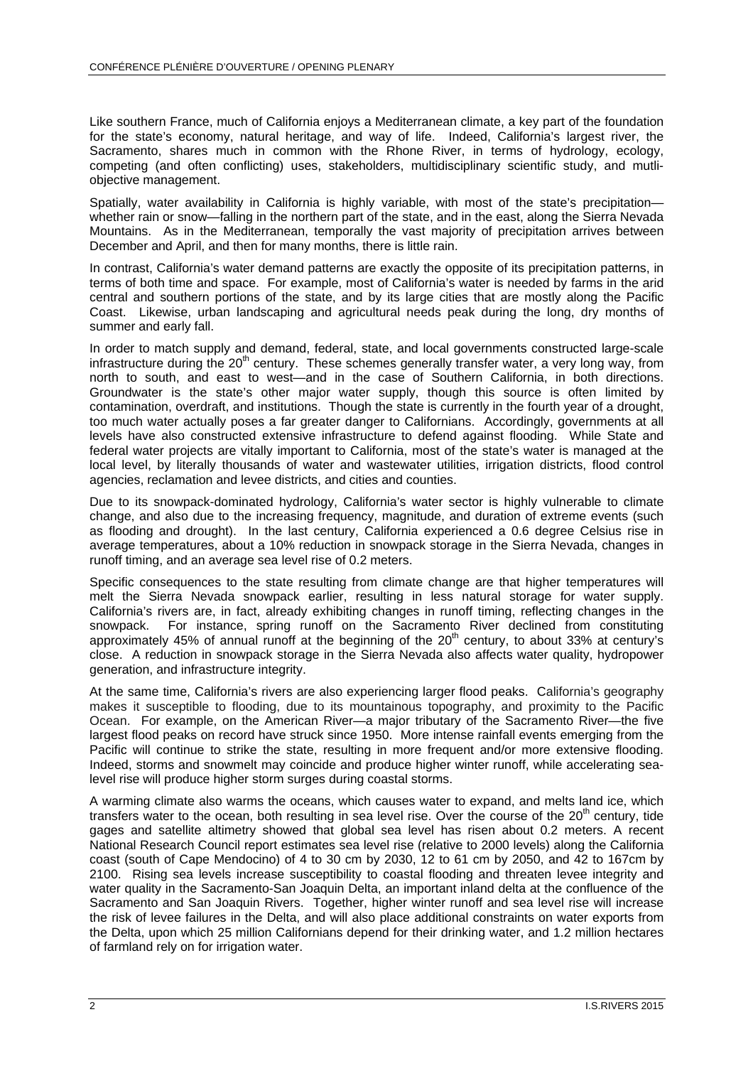Like southern France, much of California enjoys a Mediterranean climate, a key part of the foundation for the state's economy, natural heritage, and way of life. Indeed, California's largest river, the Sacramento, shares much in common with the Rhone River, in terms of hydrology, ecology, competing (and often conflicting) uses, stakeholders, multidisciplinary scientific study, and mutliobjective management.

Spatially, water availability in California is highly variable, with most of the state's precipitation whether rain or snow—falling in the northern part of the state, and in the east, along the Sierra Nevada Mountains. As in the Mediterranean, temporally the vast majority of precipitation arrives between December and April, and then for many months, there is little rain.

In contrast, California's water demand patterns are exactly the opposite of its precipitation patterns, in terms of both time and space. For example, most of California's water is needed by farms in the arid central and southern portions of the state, and by its large cities that are mostly along the Pacific Coast. Likewise, urban landscaping and agricultural needs peak during the long, dry months of summer and early fall.

In order to match supply and demand, federal, state, and local governments constructed large-scale infrastructure during the  $20<sup>th</sup>$  century. These schemes generally transfer water, a very long way, from north to south, and east to west—and in the case of Southern California, in both directions. Groundwater is the state's other major water supply, though this source is often limited by contamination, overdraft, and institutions. Though the state is currently in the fourth year of a drought, too much water actually poses a far greater danger to Californians. Accordingly, governments at all levels have also constructed extensive infrastructure to defend against flooding. While State and federal water projects are vitally important to California, most of the state's water is managed at the local level, by literally thousands of water and wastewater utilities, irrigation districts, flood control agencies, reclamation and levee districts, and cities and counties.

Due to its snowpack-dominated hydrology, California's water sector is highly vulnerable to climate change, and also due to the increasing frequency, magnitude, and duration of extreme events (such as flooding and drought). In the last century, California experienced a 0.6 degree Celsius rise in average temperatures, about a 10% reduction in snowpack storage in the Sierra Nevada, changes in runoff timing, and an average sea level rise of 0.2 meters.

Specific consequences to the state resulting from climate change are that higher temperatures will melt the Sierra Nevada snowpack earlier, resulting in less natural storage for water supply. California's rivers are, in fact, already exhibiting changes in runoff timing, reflecting changes in the snowpack. For instance, spring runoff on the Sacramento River declined from constituting approximately 45% of annual runoff at the beginning of the  $20<sup>th</sup>$  century, to about 33% at century's close. A reduction in snowpack storage in the Sierra Nevada also affects water quality, hydropower generation, and infrastructure integrity.

At the same time, California's rivers are also experiencing larger flood peaks. California's geography makes it susceptible to flooding, due to its mountainous topography, and proximity to the Pacific Ocean. For example, on the American River—a major tributary of the Sacramento River—the five largest flood peaks on record have struck since 1950. More intense rainfall events emerging from the Pacific will continue to strike the state, resulting in more frequent and/or more extensive flooding. Indeed, storms and snowmelt may coincide and produce higher winter runoff, while accelerating sealevel rise will produce higher storm surges during coastal storms.

A warming climate also warms the oceans, which causes water to expand, and melts land ice, which transfers water to the ocean, both resulting in sea level rise. Over the course of the  $20<sup>th</sup>$  century, tide gages and satellite altimetry showed that global sea level has risen about 0.2 meters. A recent National Research Council report estimates sea level rise (relative to 2000 levels) along the California coast (south of Cape Mendocino) of 4 to 30 cm by 2030, 12 to 61 cm by 2050, and 42 to 167cm by 2100. Rising sea levels increase susceptibility to coastal flooding and threaten levee integrity and water quality in the Sacramento-San Joaquin Delta, an important inland delta at the confluence of the Sacramento and San Joaquin Rivers. Together, higher winter runoff and sea level rise will increase the risk of levee failures in the Delta, and will also place additional constraints on water exports from the Delta, upon which 25 million Californians depend for their drinking water, and 1.2 million hectares of farmland rely on for irrigation water.